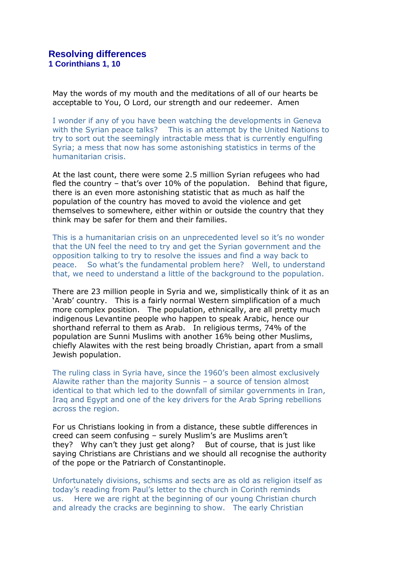May the words of my mouth and the meditations of all of our hearts be acceptable to You, O Lord, our strength and our redeemer. Amen

I wonder if any of you have been watching the developments in Geneva with the Syrian peace talks? This is an attempt by the United Nations to try to sort out the seemingly intractable mess that is currently engulfing Syria; a mess that now has some astonishing statistics in terms of the humanitarian crisis.

At the last count, there were some 2.5 million Syrian refugees who had fled the country – that's over 10% of the population. Behind that figure, there is an even more astonishing statistic that as much as half the population of the country has moved to avoid the violence and get themselves to somewhere, either within or outside the country that they think may be safer for them and their families.

This is a humanitarian crisis on an unprecedented level so it's no wonder that the UN feel the need to try and get the Syrian government and the opposition talking to try to resolve the issues and find a way back to peace. So what's the fundamental problem here? Well, to understand that, we need to understand a little of the background to the population.

There are 23 million people in Syria and we, simplistically think of it as an 'Arab' country. This is a fairly normal Western simplification of a much more complex position. The population, ethnically, are all pretty much indigenous Levantine people who happen to speak Arabic, hence our shorthand referral to them as Arab. In religious terms, 74% of the population are Sunni Muslims with another 16% being other Muslims, chiefly Alawites with the rest being broadly Christian, apart from a small Jewish population.

The ruling class in Syria have, since the 1960's been almost exclusively Alawite rather than the majority Sunnis – a source of tension almost identical to that which led to the downfall of similar governments in Iran, Iraq and Egypt and one of the key drivers for the Arab Spring rebellions across the region.

For us Christians looking in from a distance, these subtle differences in creed can seem confusing – surely Muslim's are Muslims aren't they? Why can't they just get along? But of course, that is just like saying Christians are Christians and we should all recognise the authority of the pope or the Patriarch of Constantinople.

Unfortunately divisions, schisms and sects are as old as religion itself as today's reading from Paul's letter to the church in Corinth reminds us. Here we are right at the beginning of our young Christian church and already the cracks are beginning to show. The early Christian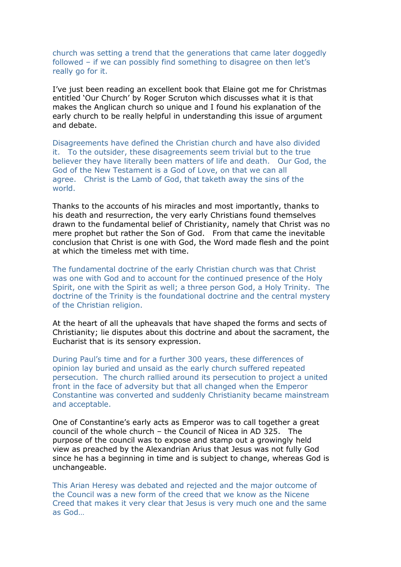church was setting a trend that the generations that came later doggedly followed – if we can possibly find something to disagree on then let's really go for it.

I've just been reading an excellent book that Elaine got me for Christmas entitled 'Our Church' by Roger Scruton which discusses what it is that makes the Anglican church so unique and I found his explanation of the early church to be really helpful in understanding this issue of argument and debate.

Disagreements have defined the Christian church and have also divided it. To the outsider, these disagreements seem trivial but to the true believer they have literally been matters of life and death. Our God, the God of the New Testament is a God of Love, on that we can all agree. Christ is the Lamb of God, that taketh away the sins of the world.

Thanks to the accounts of his miracles and most importantly, thanks to his death and resurrection, the very early Christians found themselves drawn to the fundamental belief of Christianity, namely that Christ was no mere prophet but rather the Son of God. From that came the inevitable conclusion that Christ is one with God, the Word made flesh and the point at which the timeless met with time.

The fundamental doctrine of the early Christian church was that Christ was one with God and to account for the continued presence of the Holy Spirit, one with the Spirit as well; a three person God, a Holy Trinity. The doctrine of the Trinity is the foundational doctrine and the central mystery of the Christian religion.

At the heart of all the upheavals that have shaped the forms and sects of Christianity; lie disputes about this doctrine and about the sacrament, the Eucharist that is its sensory expression.

During Paul's time and for a further 300 years, these differences of opinion lay buried and unsaid as the early church suffered repeated persecution. The church rallied around its persecution to project a united front in the face of adversity but that all changed when the Emperor Constantine was converted and suddenly Christianity became mainstream and acceptable.

One of Constantine's early acts as Emperor was to call together a great council of the whole church – the Council of Nicea in AD 325. The purpose of the council was to expose and stamp out a growingly held view as preached by the Alexandrian Arius that Jesus was not fully God since he has a beginning in time and is subject to change, whereas God is unchangeable.

This Arian Heresy was debated and rejected and the major outcome of the Council was a new form of the creed that we know as the Nicene Creed that makes it very clear that Jesus is very much one and the same as God…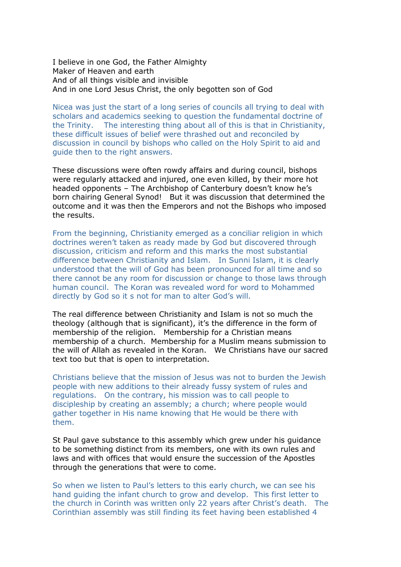I believe in one God, the Father Almighty Maker of Heaven and earth And of all things visible and invisible And in one Lord Jesus Christ, the only begotten son of God

Nicea was just the start of a long series of councils all trying to deal with scholars and academics seeking to question the fundamental doctrine of the Trinity. The interesting thing about all of this is that in Christianity, these difficult issues of belief were thrashed out and reconciled by discussion in council by bishops who called on the Holy Spirit to aid and guide then to the right answers.

These discussions were often rowdy affairs and during council, bishops were regularly attacked and injured, one even killed, by their more hot headed opponents – The Archbishop of Canterbury doesn't know he's born chairing General Synod! But it was discussion that determined the outcome and it was then the Emperors and not the Bishops who imposed the results.

From the beginning, Christianity emerged as a conciliar religion in which doctrines weren't taken as ready made by God but discovered through discussion, criticism and reform and this marks the most substantial difference between Christianity and Islam. In Sunni Islam, it is clearly understood that the will of God has been pronounced for all time and so there cannot be any room for discussion or change to those laws through human council. The Koran was revealed word for word to Mohammed directly by God so it s not for man to alter God's will.

The real difference between Christianity and Islam is not so much the theology (although that is significant), it's the difference in the form of membership of the religion. Membership for a Christian means membership of a church. Membership for a Muslim means submission to the will of Allah as revealed in the Koran. We Christians have our sacred text too but that is open to interpretation.

Christians believe that the mission of Jesus was not to burden the Jewish people with new additions to their already fussy system of rules and regulations. On the contrary, his mission was to call people to discipleship by creating an assembly; a church; where people would gather together in His name knowing that He would be there with them.

St Paul gave substance to this assembly which grew under his guidance to be something distinct from its members, one with its own rules and laws and with offices that would ensure the succession of the Apostles through the generations that were to come.

So when we listen to Paul's letters to this early church, we can see his hand guiding the infant church to grow and develop. This first letter to the church in Corinth was written only 22 years after Christ's death. The Corinthian assembly was still finding its feet having been established 4